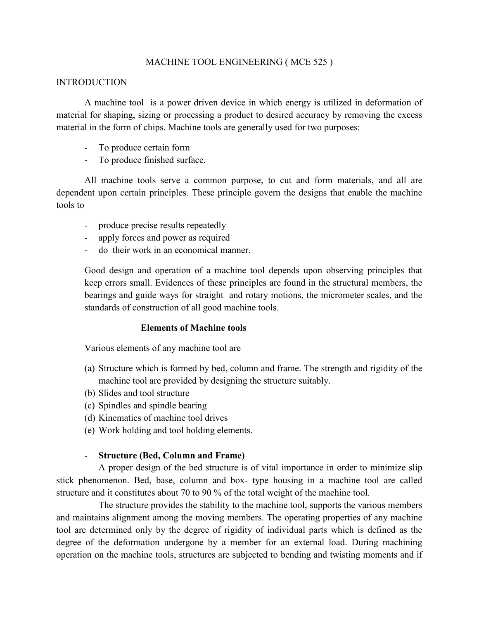## MACHINE TOOL ENGINEERING ( MCE 525 )

## **INTRODUCTION**

A machine tool is a power driven device in which energy is utilized in deformation of material for shaping, sizing or processing a product to desired accuracy by removing the excess material in the form of chips. Machine tools are generally used for two purposes:

- To produce certain form
- To produce finished surface.

All machine tools serve a common purpose, to cut and form materials, and all are dependent upon certain principles. These principle govern the designs that enable the machine tools to

- produce precise results repeatedly
- apply forces and power as required
- do their work in an economical manner.

Good design and operation of a machine tool depends upon observing principles that keep errors small. Evidences of these principles are found in the structural members, the bearings and guide ways for straight and rotary motions, the micrometer scales, and the standards of construction of all good machine tools.

#### **Elements of Machine tools**

Various elements of any machine tool are

- (a) Structure which is formed by bed, column and frame. The strength and rigidity of the machine tool are provided by designing the structure suitably.
- (b) Slides and tool structure
- (c) Spindles and spindle bearing
- (d) Kinematics of machine tool drives
- (e) Work holding and tool holding elements.

## - **Structure (Bed, Column and Frame)**

A proper design of the bed structure is of vital importance in order to minimize slip stick phenomenon. Bed, base, column and box- type housing in a machine tool are called structure and it constitutes about 70 to 90 % of the total weight of the machine tool.

The structure provides the stability to the machine tool, supports the various members and maintains alignment among the moving members. The operating properties of any machine tool are determined only by the degree of rigidity of individual parts which is defined as the degree of the deformation undergone by a member for an external load. During machining operation on the machine tools, structures are subjected to bending and twisting moments and if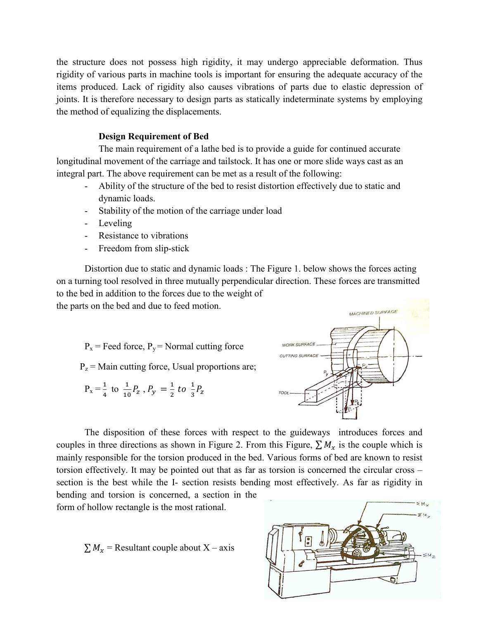the structure does not possess high rigidity, it may undergo appreciable deformation. Thus rigidity of various parts in machine tools is important for ensuring the adequate accuracy of the items produced. Lack of rigidity also causes vibrations of parts due to elastic depression of joints. It is therefore necessary to design parts as statically indeterminate systems by employing the method of equalizing the displacements.

## **Design Requirement of Bed**

The main requirement of a lathe bed is to provide a guide for continued accurate longitudinal movement of the carriage and tailstock. It has one or more slide ways cast as an integral part. The above requirement can be met as a result of the following:

- Ability of the structure of the bed to resist distortion effectively due to static and dynamic loads.
- Stability of the motion of the carriage under load
- Leveling
- Resistance to vibrations
- Freedom from slip-stick

Distortion due to static and dynamic loads : The Figure 1. below shows the forces acting on a turning tool resolved in three mutually perpendicular direction. These forces are transmitted to the bed in addition to the forces due to the weight of

the parts on the bed and due to feed motion.

 $P_x$  = Feed force,  $P_y$  = Normal cutting force

 $P_z$  = Main cutting force, Usual proportions are;

$$
P_x = \frac{1}{4}
$$
 to  $\frac{1}{10}P_z$ ,  $P_y = \frac{1}{2}$  to  $\frac{1}{3}P_z$ 



The disposition of these forces with respect to the guideways introduces forces and couples in three directions as shown in Figure 2. From this Figure,  $\sum M_x$  is the couple which is mainly responsible for the torsion produced in the bed. Various forms of bed are known to resist torsion effectively. It may be pointed out that as far as torsion is concerned the circular cross – section is the best while the I- section resists bending most effectively. As far as rigidity in

bending and torsion is concerned, a section in the form of hollow rectangle is the most rational.

 $\sum M_x$  = Resultant couple about X – axis

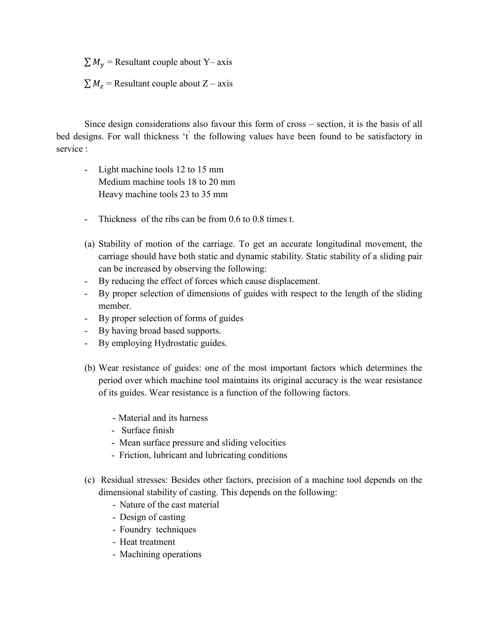$\sum M_v$  = Resultant couple about Y– axis

 $\sum M_z$  = Resultant couple about Z – axis

Since design considerations also favour this form of cross – section, it is the basis of all bed designs. For wall thickness 't the following values have been found to be satisfactory in service ·

- Light machine tools 12 to 15 mm Medium machine tools 18 to 20 mm Heavy machine tools 23 to 35 mm
- Thickness of the ribs can be from 0.6 to 0.8 times t.
- (a) Stability of motion of the carriage. To get an accurate longitudinal movement, the carriage should have both static and dynamic stability. Static stability of a sliding pair can be increased by observing the following:
- By reducing the effect of forces which cause displacement.
- By proper selection of dimensions of guides with respect to the length of the sliding member.
- By proper selection of forms of guides
- By having broad based supports.
- By employing Hydrostatic guides.
- (b) Wear resistance of guides: one of the most important factors which determines the period over which machine tool maintains its original accuracy is the wear resistance of its guides. Wear resistance is a function of the following factors.
	- Material and its harness
	- Surface finish
	- Mean surface pressure and sliding velocities
	- Friction, lubricant and lubricating conditions
- (c) Residual stresses: Besides other factors, precision of a machine tool depends on the dimensional stability of casting. This depends on the following:
	- Nature of the cast material
	- Design of casting
	- Foundry techniques
	- Heat treatment
	- Machining operations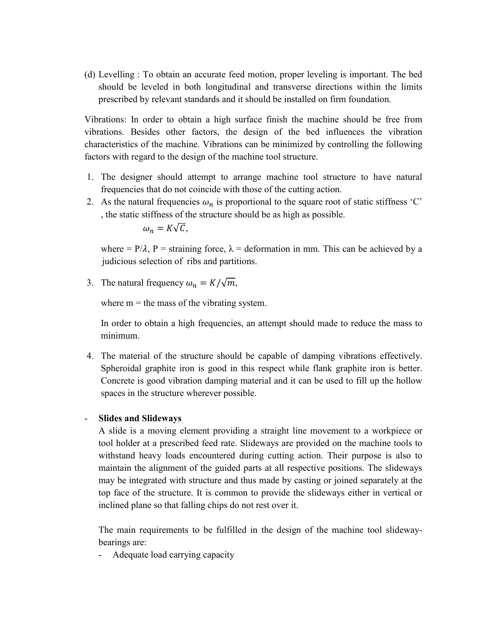(d) Levelling : To obtain an accurate feed motion, proper leveling is important. The bed should be leveled in both longitudinal and transverse directions within the limits prescribed by relevant standards and it should be installed on firm foundation.

Vibrations: In order to obtain a high surface finish the machine should be free from vibrations. Besides other factors, the design of the bed influences the vibration characteristics of the machine. Vibrations can be minimized by controlling the following factors with regard to the design of the machine tool structure.

- 1. The designer should attempt to arrange machine tool structure to have natural frequencies that do not coincide with those of the cutting action.
- 2. As the natural frequencies  $\omega_n$  is proportional to the square root of static stiffness 'C' , the static stiffness of the structure should be as high as possible.

$$
\omega_n = K\sqrt{\mathcal{C}},
$$

where =  $P/\lambda$ , P = straining force,  $\lambda$  = deformation in mm. This can be achieved by a judicious selection of ribs and partitions.

3. The natural frequency  $\omega_n = K/\sqrt{m}$ ,

where  $m =$  the mass of the vibrating system.

In order to obtain a high frequencies, an attempt should made to reduce the mass to minimum.

4. The material of the structure should be capable of damping vibrations effectively. Spheroidal graphite iron is good in this respect while flank graphite iron is better. Concrete is good vibration damping material and it can be used to fill up the hollow spaces in the structure wherever possible.

## - **Slides and Slideways**

A slide is a moving element providing a straight line movement to a workpiece or tool holder at a prescribed feed rate. Slideways are provided on the machine tools to withstand heavy loads encountered during cutting action. Their purpose is also to maintain the alignment of the guided parts at all respective positions. The slideways may be integrated with structure and thus made by casting or joined separately at the top face of the structure. It is common to provide the slideways either in vertical or inclined plane so that falling chips do not rest over it.

The main requirements to be fulfilled in the design of the machine tool slidewaybearings are:

- Adequate load carrying capacity